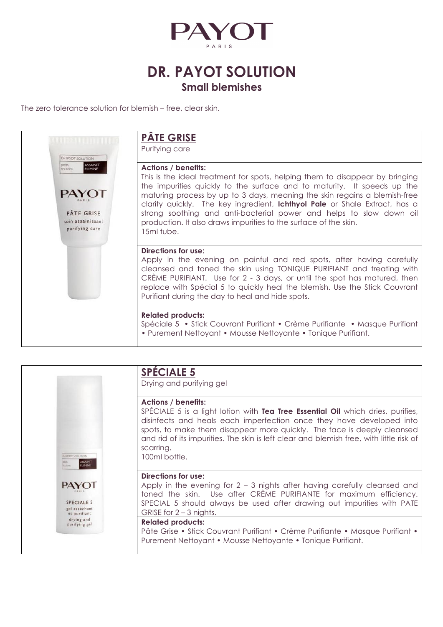

## **DR. PAYOT SOLUTION Small blemishes**

The zero tolerance solution for blemish – free, clear skin.